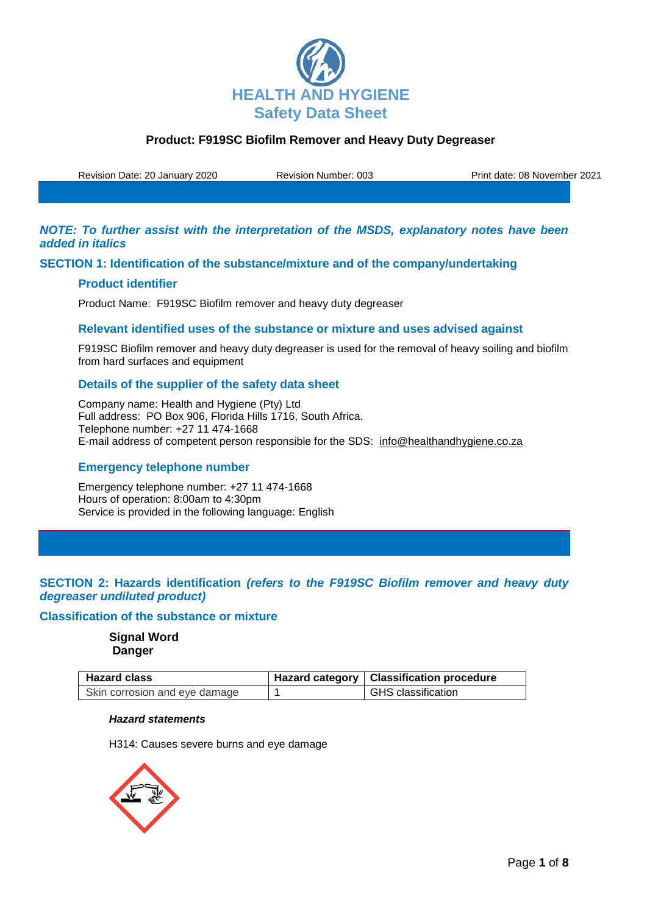

Revision Date: 20 January 2020 Revision Number: 003 Print date: 08 November 2021

*NOTE: To further assist with the interpretation of the MSDS, explanatory notes have been added in italics*

## **SECTION 1: Identification of the substance/mixture and of the company/undertaking**

### **Product identifier**

Product Name: F919SC Biofilm remover and heavy duty degreaser

### **Relevant identified uses of the substance or mixture and uses advised against**

F919SC Biofilm remover and heavy duty degreaser is used for the removal of heavy soiling and biofilm from hard surfaces and equipment

## **Details of the supplier of the safety data sheet**

Company name: Health and Hygiene (Pty) Ltd Full address: PO Box 906, Florida Hills 1716, South Africa. Telephone number: +27 11 474-1668 E-mail address of competent person responsible for the SDS: info@healthandhygiene.co.za

## **Emergency telephone number**

Emergency telephone number: +27 11 474-1668 Hours of operation: 8:00am to 4:30pm Service is provided in the following language: English

# **SECTION 2: Hazards identification** *(refers to the F919SC Biofilm remover and heavy duty degreaser undiluted product)*

## **Classification of the substance or mixture**

**Signal Word Danger**

| <b>Hazard class</b>           | Hazard category   Classification procedure |
|-------------------------------|--------------------------------------------|
| Skin corrosion and eye damage | <b>GHS</b> classification                  |

#### *Hazard statements*

H314: Causes severe burns and eye damage

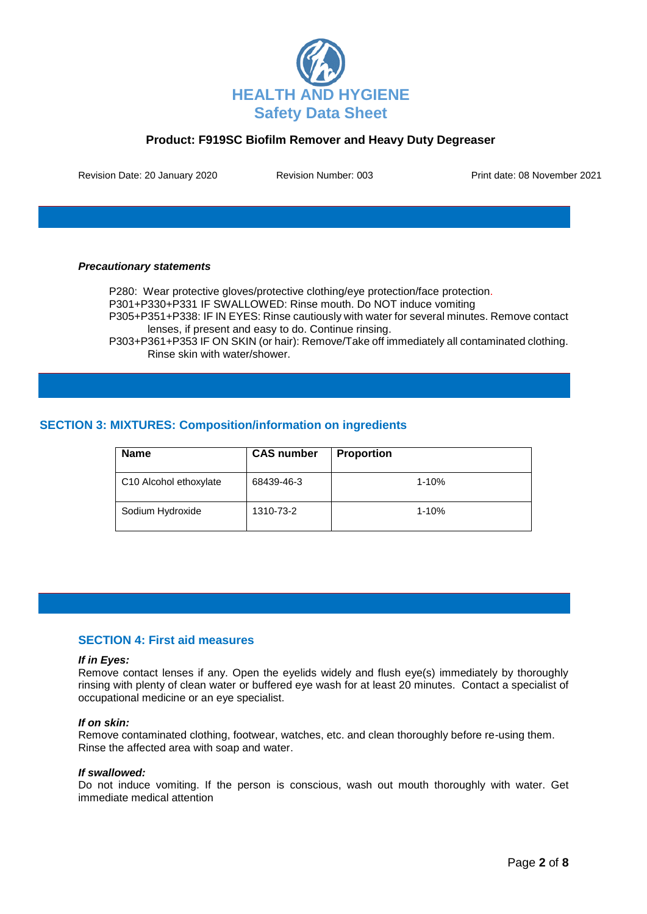

Revision Date: 20 January 2020 Revision Number: 003 Print date: 08 November 2021

#### *Precautionary statements*

P280: Wear protective gloves/protective clothing/eye protection/face protection.

P301+P330+P331 IF SWALLOWED: Rinse mouth. Do NOT induce vomiting

P305+P351+P338: IF IN EYES: Rinse cautiously with water for several minutes. Remove contact lenses, if present and easy to do. Continue rinsing.

P303+P361+P353 IF ON SKIN (or hair): Remove/Take off immediately all contaminated clothing. Rinse skin with water/shower.

# **SECTION 3: MIXTURES: Composition/information on ingredients**

| <b>Name</b>            | <b>CAS number</b> | <b>Proportion</b> |
|------------------------|-------------------|-------------------|
| C10 Alcohol ethoxylate | 68439-46-3        | $1 - 10%$         |
| Sodium Hydroxide       | 1310-73-2         | $1 - 10%$         |

#### **SECTION 4: First aid measures**

#### *If in Eyes:*

Remove contact lenses if any. Open the eyelids widely and flush eye(s) immediately by thoroughly rinsing with plenty of clean water or buffered eye wash for at least 20 minutes. Contact a specialist of occupational medicine or an eye specialist.

#### *If on skin:*

Remove contaminated clothing, footwear, watches, etc. and clean thoroughly before re-using them. Rinse the affected area with soap and water.

#### *If swallowed:*

Do not induce vomiting. If the person is conscious, wash out mouth thoroughly with water. Get immediate medical attention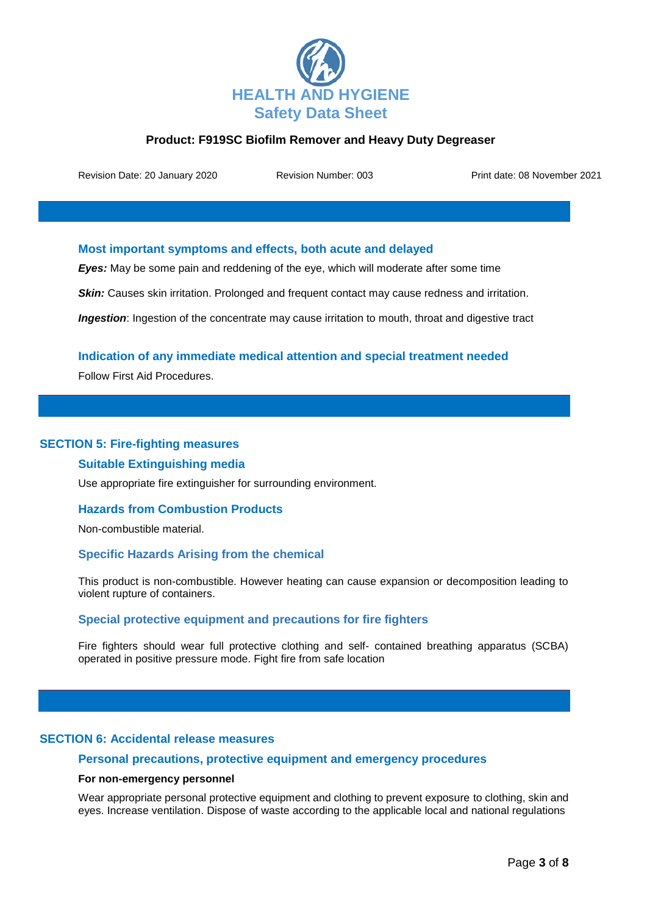

Revision Date: 20 January 2020 Revision Number: 003 Print date: 08 November 2021

### **Most important symptoms and effects, both acute and delayed**

*Eyes:* May be some pain and reddening of the eye, which will moderate after some time

**Skin:** Causes skin irritation. Prolonged and frequent contact may cause redness and irritation.

**Ingestion**: Ingestion of the concentrate may cause irritation to mouth, throat and digestive tract

## **Indication of any immediate medical attention and special treatment needed**

Follow First Aid Procedures.

### **SECTION 5: Fire-fighting measures**

#### **Suitable Extinguishing media**

Use appropriate fire extinguisher for surrounding environment.

#### **Hazards from Combustion Products**

Non-combustible material.

#### **Specific Hazards Arising from the chemical**

This product is non-combustible. However heating can cause expansion or decomposition leading to violent rupture of containers.

#### **Special protective equipment and precautions for fire fighters**

Fire fighters should wear full protective clothing and self- contained breathing apparatus (SCBA) operated in positive pressure mode. Fight fire from safe location

### **SECTION 6: Accidental release measures**

## **Personal precautions, protective equipment and emergency procedures**

### **For non-emergency personnel**

Wear appropriate personal protective equipment and clothing to prevent exposure to clothing, skin and eyes. Increase ventilation. Dispose of waste according to the applicable local and national regulations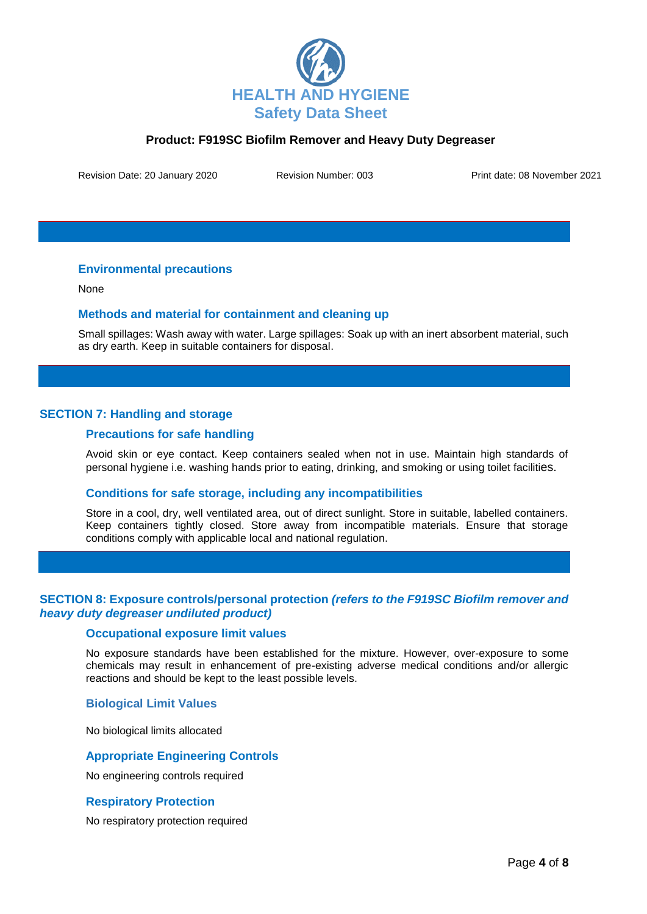

Revision Date: 20 January 2020 Revision Number: 003 Print date: 08 November 2021

## **Environmental precautions**

None

### **Methods and material for containment and cleaning up**

Small spillages: Wash away with water. Large spillages: Soak up with an inert absorbent material, such as dry earth. Keep in suitable containers for disposal.

# **SECTION 7: Handling and storage**

### **Precautions for safe handling**

Avoid skin or eye contact. Keep containers sealed when not in use. Maintain high standards of personal hygiene i.e. washing hands prior to eating, drinking, and smoking or using toilet facilities.

#### **Conditions for safe storage, including any incompatibilities**

Store in a cool, dry, well ventilated area, out of direct sunlight. Store in suitable, labelled containers. Keep containers tightly closed. Store away from incompatible materials. Ensure that storage conditions comply with applicable local and national regulation.

## **SECTION 8: Exposure controls/personal protection** *(refers to the F919SC Biofilm remover and heavy duty degreaser undiluted product)*

### **Occupational exposure limit values**

No exposure standards have been established for the mixture. However, over-exposure to some chemicals may result in enhancement of pre-existing adverse medical conditions and/or allergic reactions and should be kept to the least possible levels.

#### **Biological Limit Values**

No biological limits allocated

## **Appropriate Engineering Controls**

No engineering controls required

#### **Respiratory Protection**

No respiratory protection required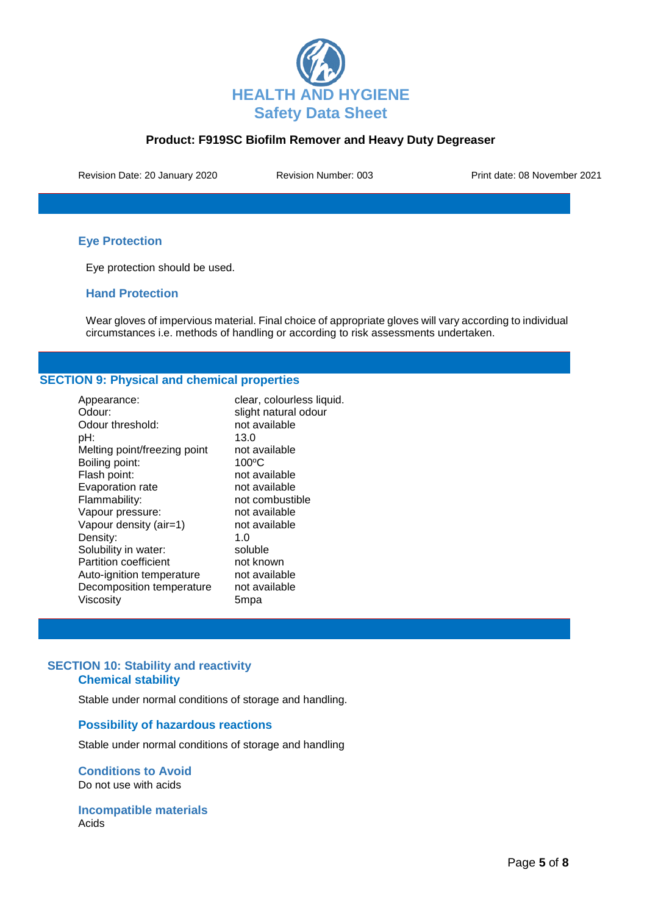

Revision Date: 20 January 2020 Revision Number: 003 Print date: 08 November 2021

# **Eye Protection**

Eye protection should be used.

## **Hand Protection**

Wear gloves of impervious material. Final choice of appropriate gloves will vary according to individual circumstances i.e. methods of handling or according to risk assessments undertaken.

# **SECTION 9: Physical and chemical properties**

| Appearance:                  | clear, colourless liquid. |
|------------------------------|---------------------------|
| Odour:                       | slight natural odour      |
| Odour threshold:             | not available             |
| pH:                          | 13.0                      |
| Melting point/freezing point | not available             |
| Boiling point:               | $100^{\circ}$ C           |
| Flash point:                 | not available             |
| Evaporation rate             | not available             |
| Flammability:                | not combustible           |
| Vapour pressure:             | not available             |
| Vapour density (air=1)       | not available             |
| Density:                     | 1.0                       |
| Solubility in water:         | soluble                   |
| <b>Partition coefficient</b> | not known                 |
| Auto-ignition temperature    | not available             |
| Decomposition temperature    | not available             |
| Viscosity                    | 5mpa                      |

# **SECTION 10: Stability and reactivity Chemical stability**

Stable under normal conditions of storage and handling.

#### **Possibility of hazardous reactions**

Stable under normal conditions of storage and handling

**Conditions to Avoid** Do not use with acids

**Incompatible materials** Acids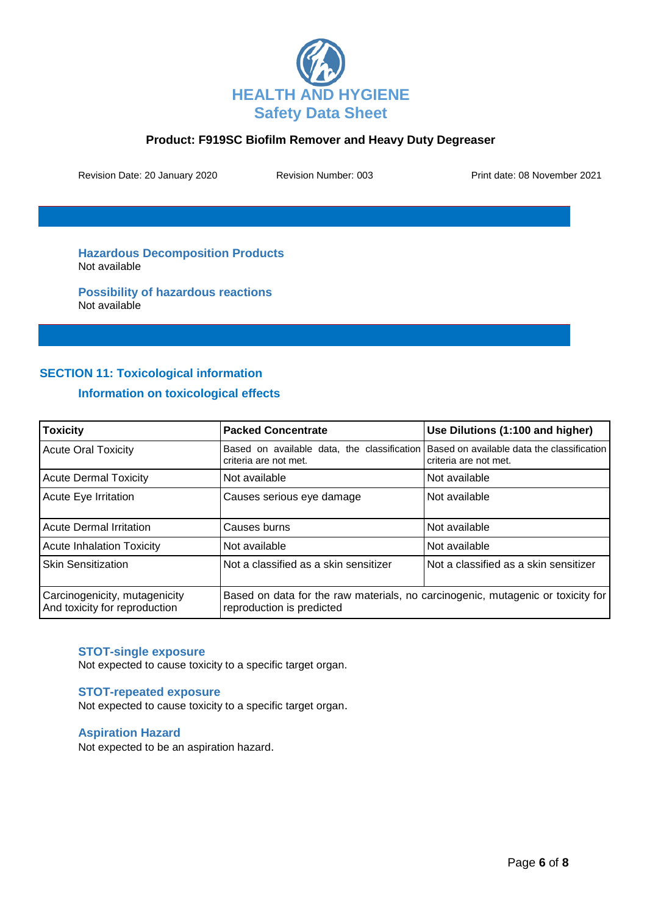

Revision Date: 20 January 2020 Revision Number: 003 Print date: 08 November 2021

**Hazardous Decomposition Products** Not available

**Possibility of hazardous reactions** Not available

# **SECTION 11: Toxicological information**

# **Information on toxicological effects**

| <b>Toxicity</b>                                                | <b>Packed Concentrate</b>                                                                                    | Use Dilutions (1:100 and higher)                                    |
|----------------------------------------------------------------|--------------------------------------------------------------------------------------------------------------|---------------------------------------------------------------------|
| <b>Acute Oral Toxicity</b>                                     | Based on available data, the classification<br>criteria are not met.                                         | Based on available data the classification<br>criteria are not met. |
| <b>Acute Dermal Toxicity</b>                                   | Not available                                                                                                | Not available                                                       |
| Acute Eye Irritation                                           | Causes serious eye damage                                                                                    | Not available                                                       |
| <b>Acute Dermal Irritation</b>                                 | Causes burns                                                                                                 | Not available                                                       |
| <b>Acute Inhalation Toxicity</b>                               | Not available                                                                                                | Not available                                                       |
| <b>Skin Sensitization</b>                                      | Not a classified as a skin sensitizer                                                                        | Not a classified as a skin sensitizer                               |
| Carcinogenicity, mutagenicity<br>And toxicity for reproduction | Based on data for the raw materials, no carcinogenic, mutagenic or toxicity for<br>reproduction is predicted |                                                                     |

## **STOT-single exposure**

Not expected to cause toxicity to a specific target organ.

#### **STOT-repeated exposure**

Not expected to cause toxicity to a specific target organ.

### **Aspiration Hazard**

Not expected to be an aspiration hazard.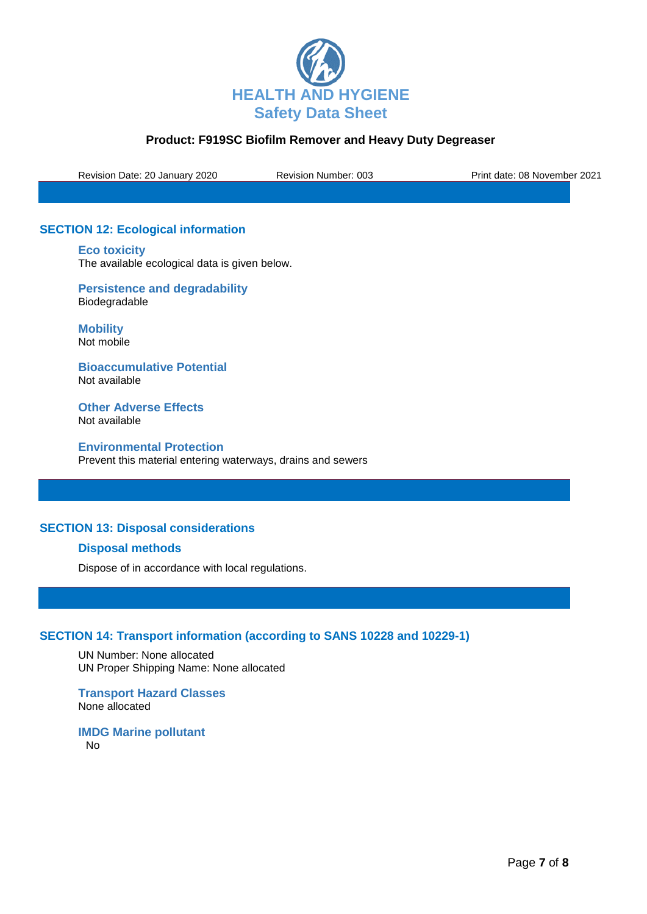

Revision Date: 20 January 2020 Revision Number: 003 Print date: 08 November 2021

# **SECTION 12: Ecological information**

**Eco toxicity** The available ecological data is given below.

**Persistence and degradability** Biodegradable

**Mobility** Not mobile

**Bioaccumulative Potential** Not available

**Other Adverse Effects** Not available

**Environmental Protection** Prevent this material entering waterways, drains and sewers

# **SECTION 13: Disposal considerations**

## **Disposal methods**

Dispose of in accordance with local regulations.

# **SECTION 14: Transport information (according to SANS 10228 and 10229-1)**

UN Number: None allocated UN Proper Shipping Name: None allocated

**Transport Hazard Classes** None allocated

**IMDG Marine pollutant** No